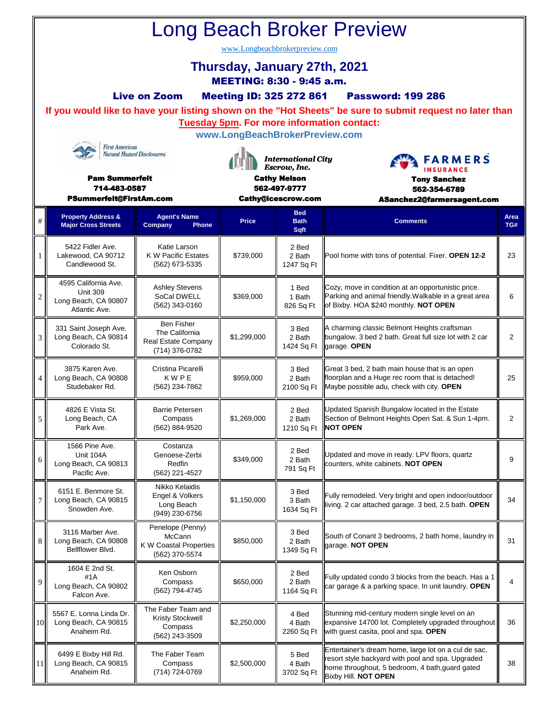| <b>Long Beach Broker Preview</b>                                                                                               |                                                                                  |                                                                              |                                                                                                        |                               |                                                                                                                                                                                      |                |   |                                                             |                                                       |              |                                   |                                                    |             |
|--------------------------------------------------------------------------------------------------------------------------------|----------------------------------------------------------------------------------|------------------------------------------------------------------------------|--------------------------------------------------------------------------------------------------------|-------------------------------|--------------------------------------------------------------------------------------------------------------------------------------------------------------------------------------|----------------|---|-------------------------------------------------------------|-------------------------------------------------------|--------------|-----------------------------------|----------------------------------------------------|-------------|
| www.Longbeachbrokerpreview.com                                                                                                 |                                                                                  |                                                                              |                                                                                                        |                               |                                                                                                                                                                                      |                |   |                                                             |                                                       |              |                                   |                                                    |             |
| Thursday, January 27th, 2021<br>MEETING: 8:30 - 9:45 a.m.                                                                      |                                                                                  |                                                                              |                                                                                                        |                               |                                                                                                                                                                                      |                |   |                                                             |                                                       |              |                                   |                                                    |             |
| <b>Live on Zoom</b><br><b>Meeting ID: 325 272 861</b><br><b>Password: 199 286</b>                                              |                                                                                  |                                                                              |                                                                                                        |                               |                                                                                                                                                                                      |                |   |                                                             |                                                       |              |                                   |                                                    |             |
|                                                                                                                                |                                                                                  |                                                                              |                                                                                                        |                               | If you would like to have your listing shown on the "Hot Sheets" be sure to submit request no later than                                                                             |                |   |                                                             |                                                       |              |                                   |                                                    |             |
| <b>Tuesday 5pm. For more information contact:</b><br>www.LongBeachBrokerPreview.com                                            |                                                                                  |                                                                              |                                                                                                        |                               |                                                                                                                                                                                      |                |   |                                                             |                                                       |              |                                   |                                                    |             |
| <b>First American</b><br><b>Natural Hazard Disclosures</b><br><b>Pam Summerfelt</b><br>714-483-0587<br>PSummerfelt@FirstAm.com |                                                                                  |                                                                              | <b>International City</b><br>Escrow, Inc.<br><b>Cathy Nelson</b><br>562-497-9777<br>Cathy@icescrow.com |                               | <b>FARMERS</b><br><b>INSURANCE</b><br><b>Tony Sanchez</b><br>562-354-6789<br>ASanchez2@farmersagent.com                                                                              |                |   |                                                             |                                                       |              |                                   |                                                    |             |
|                                                                                                                                |                                                                                  |                                                                              |                                                                                                        |                               |                                                                                                                                                                                      |                | # | <b>Property Address &amp;</b><br><b>Major Cross Streets</b> | <b>Agent's Name</b><br>Company<br>Phone               | <b>Price</b> | <b>Bed</b><br><b>Bath</b><br>Sqft | <b>Comments</b>                                    | Area<br>TG# |
|                                                                                                                                |                                                                                  |                                                                              |                                                                                                        |                               |                                                                                                                                                                                      |                | 1 | 5422 Fidler Ave.<br>Lakewood, CA 90712<br>Candlewood St.    | Katie Larson<br>K W Pacific Estates<br>(562) 673-5335 | \$739,000    | 2 Bed<br>2 Bath<br>1247 Sq Ft     | Pool home with tons of potential. Fixer. OPEN 12-2 | 23          |
| $\overline{c}$                                                                                                                 | 4595 California Ave.<br><b>Unit 309</b><br>Long Beach, CA 90807<br>Atlantic Ave. | <b>Ashley Stevens</b><br>SoCal DWELL<br>(562) 343-0160                       | \$369,000                                                                                              | 1 Bed<br>1 Bath<br>826 Sq Ft  | Cozy, move in condition at an opportunistic price.<br>Parking and animal friendly. Walkable in a great area<br>of Bixby. HOA \$240 monthly. NOT OPEN                                 | 6              |   |                                                             |                                                       |              |                                   |                                                    |             |
| 3                                                                                                                              | 331 Saint Joseph Ave.<br>Long Beach, CA 90814<br>Colorado St.                    | <b>Ben Fisher</b><br>The California<br>Real Estate Company<br>(714) 376-0782 | \$1,299,000                                                                                            | 3 Bed<br>2 Bath<br>1424 Sq Ft | A charming classic Belmont Heights craftsman<br>bungalow. 3 bed 2 bath. Great full size lot with 2 car<br>garage. OPEN                                                               | 2              |   |                                                             |                                                       |              |                                   |                                                    |             |
| 4                                                                                                                              | 3875 Karen Ave.<br>Long Beach, CA 90808<br>Studebaker Rd.                        | Cristina Picarelli<br>KWPE<br>(562) 234-7862                                 | \$959,000                                                                                              | 3 Bed<br>2 Bath<br>2100 Sq Ft | Great 3 bed, 2 bath main house that is an open<br>floorplan and a Huge rec room that is detached!<br>Maybe possible adu, check with city. OPEN                                       | 25             |   |                                                             |                                                       |              |                                   |                                                    |             |
| 5                                                                                                                              | 4826 E Vista St.<br>Long Beach, CA<br>Park Ave.                                  | <b>Barrie Petersen</b><br>Compass<br>(562) 884-9520                          | \$1,269,000                                                                                            | 2 Bed<br>2 Bath<br>1210 Sq Ft | Updated Spanish Bungalow located in the Estate<br>Section of Belmont Heights Open Sat. & Sun 1-4pm.<br><b>NOT OPEN</b>                                                               | $\overline{2}$ |   |                                                             |                                                       |              |                                   |                                                    |             |
| 6                                                                                                                              | 1566 Pine Ave.<br>Unit 104A<br>Long Beach, CA 90813<br>Pacific Ave.              | Costanza<br>Genoese-Zerbi<br>Redfin<br>(562) 221-4527                        | \$349,000                                                                                              | 2 Bed<br>2 Bath<br>791 Sq Ft  | Updated and move in ready. LPV floors, quartz<br>counters, white cabinets. NOT OPEN                                                                                                  | 9              |   |                                                             |                                                       |              |                                   |                                                    |             |
| $\overline{7}$                                                                                                                 | 6151 E. Benmore St.<br>Long Beach, CA 90815<br>Snowden Ave.                      | Nikko Kelaidis<br>Engel & Volkers<br>Long Beach<br>(949) 230-6756            | \$1,150,000                                                                                            | 3 Bed<br>3 Bath<br>1634 Sq Ft | Fully remodeled. Very bright and open indoor/outdoor<br>living. 2 car attached garage. 3 bed, 2.5 bath. OPEN                                                                         | 34             |   |                                                             |                                                       |              |                                   |                                                    |             |
| 8                                                                                                                              | 3116 Marber Ave.<br>Long Beach, CA 90808<br>Bellflower Blvd.                     | Penelope (Penny)<br>McCann<br>K W Coastal Properties<br>(562) 370-5574       | \$850,000                                                                                              | 3 Bed<br>2 Bath<br>1349 Sq Ft | South of Conant 3 bedrooms, 2 bath home, laundry in<br>garage. NOT OPEN                                                                                                              | 31             |   |                                                             |                                                       |              |                                   |                                                    |             |
| 9                                                                                                                              | 1604 E 2nd St.<br>#1A<br>Long Beach, CA 90802<br>Falcon Ave.                     | Ken Osborn<br>Compass<br>(562) 794-4745                                      | \$650,000                                                                                              | 2 Bed<br>2 Bath<br>1164 Sq Ft | Fully updated condo 3 blocks from the beach. Has a 1<br>car garage & a parking space. In unit laundry. OPEN                                                                          | 4              |   |                                                             |                                                       |              |                                   |                                                    |             |
| 10                                                                                                                             | 5567 E. Lonna Linda Dr.<br>Long Beach, CA 90815<br>Anaheim Rd.                   | The Faber Team and<br><b>Kristy Stockwell</b><br>Compass<br>(562) 243-3509   | \$2,250,000                                                                                            | 4 Bed<br>4 Bath<br>2260 Sq Ft | Stunning mid-century modern single level on an<br>expansive 14700 lot. Completely upgraded throughout<br>with guest casita, pool and spa. OPEN                                       | 36             |   |                                                             |                                                       |              |                                   |                                                    |             |
| 11                                                                                                                             | 6499 E Bixby Hill Rd.<br>Long Beach, CA 90815<br>Anaheim Rd.                     | The Faber Team<br>Compass<br>(714) 724-0769                                  | \$2,500,000                                                                                            | 5 Bed<br>4 Bath<br>3702 Sq Ft | Entertainer's dream home, large lot on a cul de sac,<br>resort style backyard with pool and spa. Upgraded<br>home throughout, 5 bedroom, 4 bath, guard gated<br>Bixby Hill. NOT OPEN | 38             |   |                                                             |                                                       |              |                                   |                                                    |             |